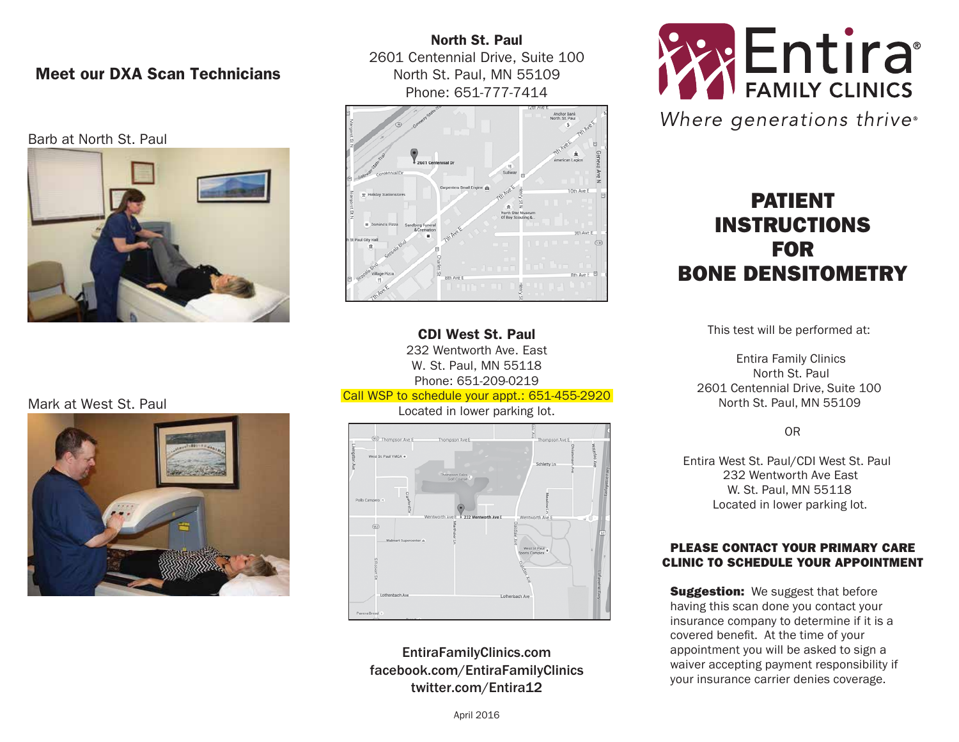## Meet our DXA Scan Technicians

#### Barb at North St. Paul



North St. Paul 2601 Centennial Drive, Suite 100 North St. Paul, MN 55109 Phone: 651-777-7414



CDI West St. Paul 232 Wentworth Ave. East W. St. Paul, MN 55118 Phone: 651-209-0219 Call WSP to schedule your appt.: 651-455-2920

Located in lower parking lot.



EntiraFamilyClinics.com facebook.com/EntiraFamilyClinics twitter.com/Entira12



Where generations thrive®

# PATIENT INSTRUCTIONS FOR BONE DENSITOMETRY

This test will be performed at:

Entira Family Clinics North St. Paul 2601 Centennial Drive, Suite 100 North St. Paul, MN 55109

OR

Entira West St. Paul/CDI West St. Paul 232 Wentworth Ave East W. St. Paul, MN 55118 Located in lower parking lot.

#### PLEASE CONTACT YOUR PRIMARY CARE CLINIC TO SCHEDULE YOUR APPOINTMENT

**Suggestion:** We suggest that before having this scan done you contact your insurance company to determine if it is a covered benefit. At the time of your appointment you will be asked to sign a waiver accepting payment responsibility if your insurance carrier denies coverage.

## Mark at West St. Paul